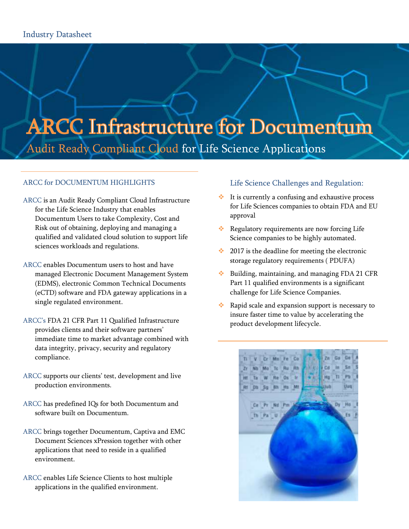# **ARCC Infrastructure for Documentum** Audit Ready Compliant Cloud for Life Science Applications

## ARCC for DOCUMENTUM HIGHLIGHTS

- ARCC is an Audit Ready Compliant Cloud Infrastructure for the Life Science Industry that enables Documentum Users to take Complexity, Cost and Risk out of obtaining, deploying and managing a qualified and validated cloud solution to support life sciences workloads and regulations.
- ARCC enables Documentum users to host and have managed Electronic Document Management System (EDMS), electronic Common Technical Documents (eCTD) software and FDA gateway applications in a single regulated environment.
- ARCC's FDA 21 CFR Part 11 Qualified Infrastructure provides clients and their software partners' immediate time to market advantage combined with data integrity, privacy, security and regulatory compliance.
- ARCC supports our clients' test, development and live production environments.
- ARCC has predefined IQs for both Documentum and software built on Documentum.
- ARCC brings together Documentum, Captiva and EMC Document Sciences xPression together with other applications that need to reside in a qualified environment.
- ARCC enables Life Science Clients to host multiple applications in the qualified environment.

## Life Science Challenges and Regulation:

- $\cdot \cdot$  It is currently a confusing and exhaustive process for Life Sciences companies to obtain FDA and EU approval
- Regulatory requirements are now forcing Life Science companies to be highly automated.
- $\cdot$  2017 is the deadline for meeting the electronic storage regulatory requirements ( PDUFA)
- **◆** Building, maintaining, and managing FDA 21 CFR Part 11 qualified environments is a significant challenge for Life Science Companies.
- Rapid scale and expansion support is necessary to insure faster time to value by accelerating the product development lifecycle.